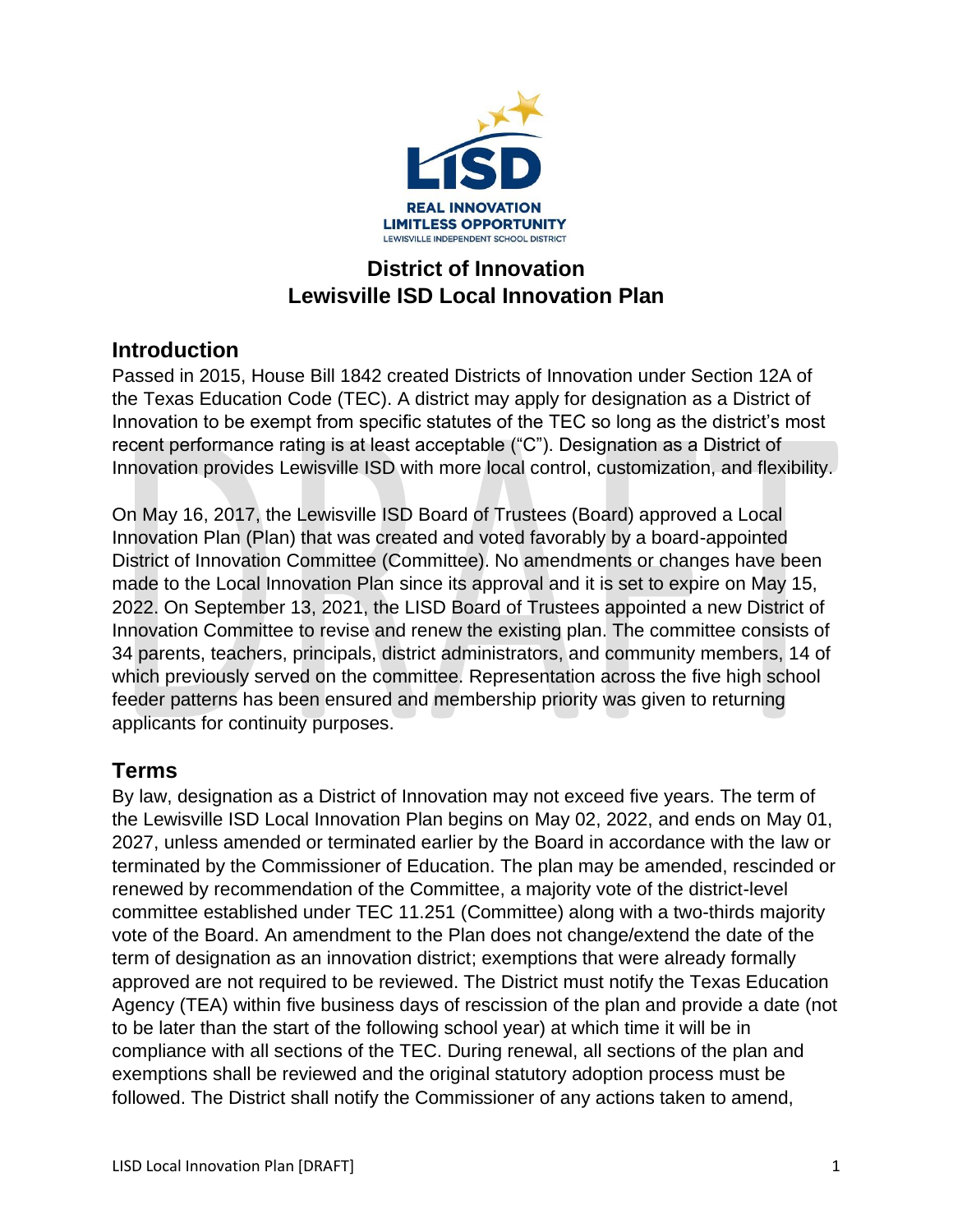

# **District of Innovation Lewisville ISD Local Innovation Plan**

## **Introduction**

Passed in 2015, House Bill 1842 created Districts of Innovation under Section 12A of the Texas Education Code (TEC). A district may apply for designation as a District of Innovation to be exempt from specific statutes of the TEC so long as the district's most recent performance rating is at least acceptable ("C"). Designation as a District of Innovation provides Lewisville ISD with more local control, customization, and flexibility.

On May 16, 2017, the Lewisville ISD Board of Trustees (Board) approved a Local Innovation Plan (Plan) that was created and voted favorably by a board-appointed District of Innovation Committee (Committee). No amendments or changes have been made to the Local Innovation Plan since its approval and it is set to expire on May 15, 2022. On September 13, 2021, the LISD Board of Trustees appointed a new District of Innovation Committee to revise and renew the existing plan. The committee consists of 34 parents, teachers, principals, district administrators, and community members, 14 of which previously served on the committee. Representation across the five high school feeder patterns has been ensured and membership priority was given to returning applicants for continuity purposes.

# **Terms**

By law, designation as a District of Innovation may not exceed five years. The term of the Lewisville ISD Local Innovation Plan begins on May 02, 2022, and ends on May 01, 2027, unless amended or terminated earlier by the Board in accordance with the law or terminated by the Commissioner of Education. The plan may be amended, rescinded or renewed by recommendation of the Committee, a majority vote of the district-level committee established under TEC 11.251 (Committee) along with a two-thirds majority vote of the Board. An amendment to the Plan does not change/extend the date of the term of designation as an innovation district; exemptions that were already formally approved are not required to be reviewed. The District must notify the Texas Education Agency (TEA) within five business days of rescission of the plan and provide a date (not to be later than the start of the following school year) at which time it will be in compliance with all sections of the TEC. During renewal, all sections of the plan and exemptions shall be reviewed and the original statutory adoption process must be followed. The District shall notify the Commissioner of any actions taken to amend,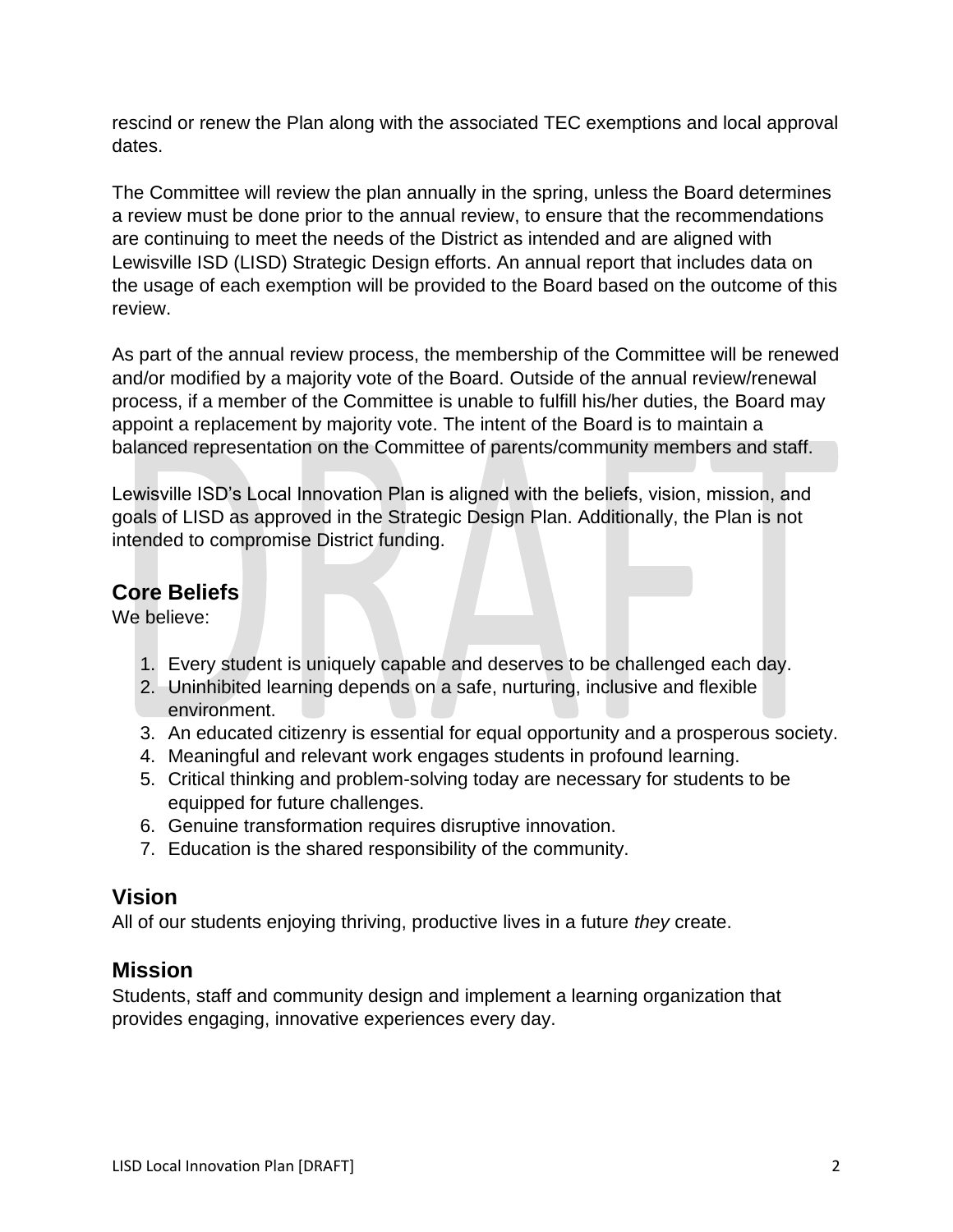rescind or renew the Plan along with the associated TEC exemptions and local approval dates.

The Committee will review the plan annually in the spring, unless the Board determines a review must be done prior to the annual review, to ensure that the recommendations are continuing to meet the needs of the District as intended and are aligned with Lewisville ISD (LISD) Strategic Design efforts. An annual report that includes data on the usage of each exemption will be provided to the Board based on the outcome of this review.

As part of the annual review process, the membership of the Committee will be renewed and/or modified by a majority vote of the Board. Outside of the annual review/renewal process, if a member of the Committee is unable to fulfill his/her duties, the Board may appoint a replacement by majority vote. The intent of the Board is to maintain a balanced representation on the Committee of parents/community members and staff.

Lewisville ISD's Local Innovation Plan is aligned with the beliefs, vision, mission, and goals of LISD as approved in the Strategic Design Plan. Additionally, the Plan is not intended to compromise District funding.

## **Core Beliefs**

We believe:

- 1. Every student is uniquely capable and deserves to be challenged each day.
- 2. Uninhibited learning depends on a safe, nurturing, inclusive and flexible environment.
- 3. An educated citizenry is essential for equal opportunity and a prosperous society.
- 4. Meaningful and relevant work engages students in profound learning.
- 5. Critical thinking and problem-solving today are necessary for students to be equipped for future challenges.
- 6. Genuine transformation requires disruptive innovation.
- 7. Education is the shared responsibility of the community.

## **Vision**

All of our students enjoying thriving, productive lives in a future *they* create.

## **Mission**

Students, staff and community design and implement a learning organization that provides engaging, innovative experiences every day.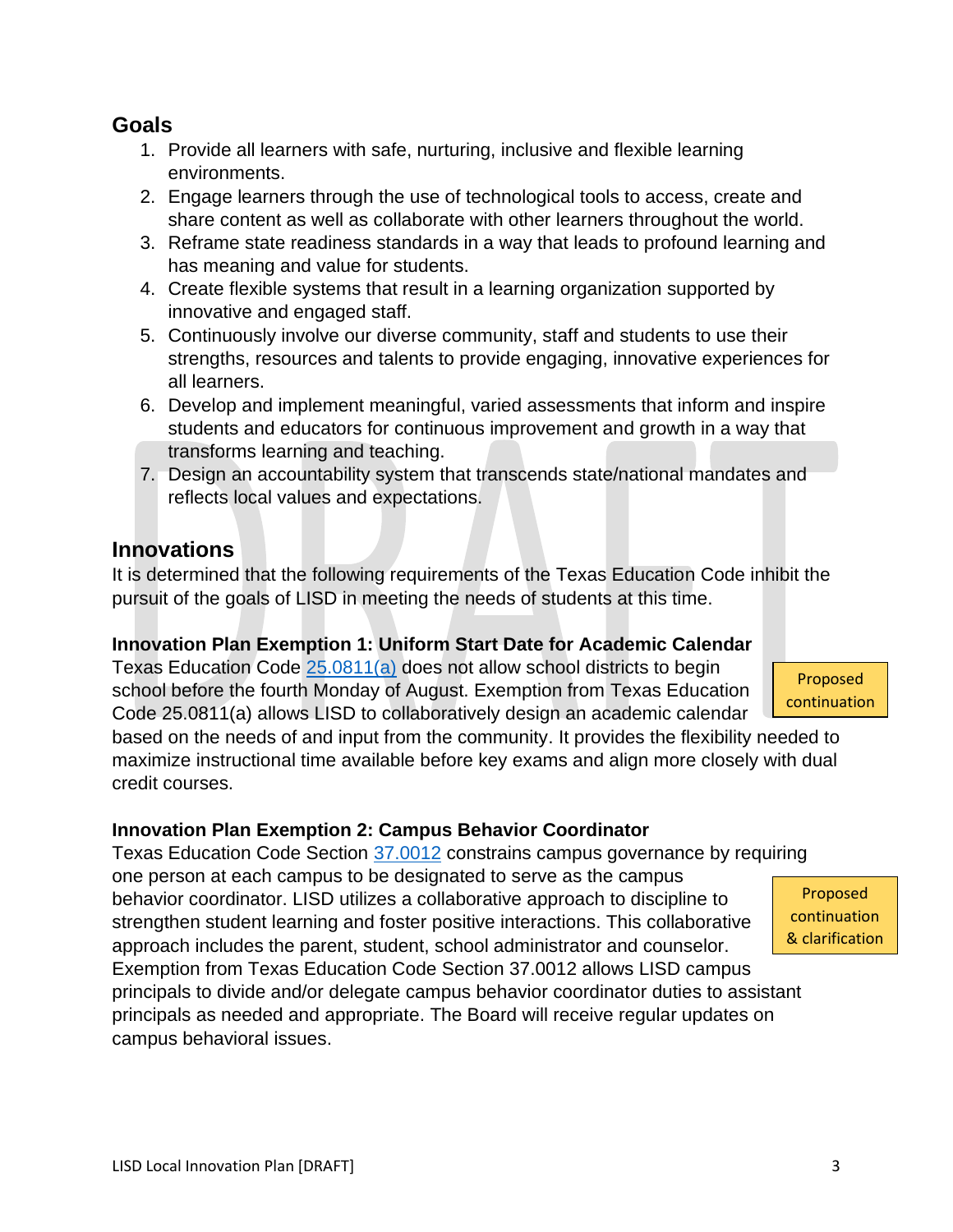**Goals**

- 1. Provide all learners with safe, nurturing, inclusive and flexible learning environments.
- 2. Engage learners through the use of technological tools to access, create and share content as well as collaborate with other learners throughout the world.
- 3. Reframe state readiness standards in a way that leads to profound learning and has meaning and value for students.
- 4. Create flexible systems that result in a learning organization supported by innovative and engaged staff.
- 5. Continuously involve our diverse community, staff and students to use their strengths, resources and talents to provide engaging, innovative experiences for all learners.
- 6. Develop and implement meaningful, varied assessments that inform and inspire students and educators for continuous improvement and growth in a way that transforms learning and teaching.
- 7. Design an accountability system that transcends state/national mandates and reflects local values and expectations.

# **Innovations**

It is determined that the following requirements of the Texas Education Code inhibit the pursuit of the goals of LISD in meeting the needs of students at this time.

### **Innovation Plan Exemption 1: Uniform Start Date for Academic Calendar**

Texas Education Code [25.0811\(a\)](https://statutes.capitol.texas.gov/Docs/ED/htm/ED.25.htm#:~:text=Sec.%2025.0811.%20%20FIRST%20DAY%20OF%20INSTRUCTION.) does not allow school districts to begin school before the fourth Monday of August. Exemption from Texas Education Code 25.0811(a) allows LISD to collaboratively design an academic calendar

based on the needs of and input from the community. It provides the flexibility needed to maximize instructional time available before key exams and align more closely with dual credit courses.

### **Innovation Plan Exemption 2: Campus Behavior Coordinator**

Texas Education Code Section [37.0012](https://statutes.capitol.texas.gov/docs/ed/htm/ed.37.htm#:~:text=Sec.%2037.0012.%20%20DESIGNATION%20OF%20CAMPUS%20BEHAVIOR%20COORDINATOR.) constrains campus governance by requiring one person at each campus to be designated to serve as the campus behavior coordinator. LISD utilizes a collaborative approach to discipline to strengthen student learning and foster positive interactions. This collaborative approach includes the parent, student, school administrator and counselor. Exemption from Texas Education Code Section 37.0012 allows LISD campus principals to divide and/or delegate campus behavior coordinator duties to assistant principals as needed and appropriate. The Board will receive regular updates on

Proposed continuation & clarification

Proposed continuation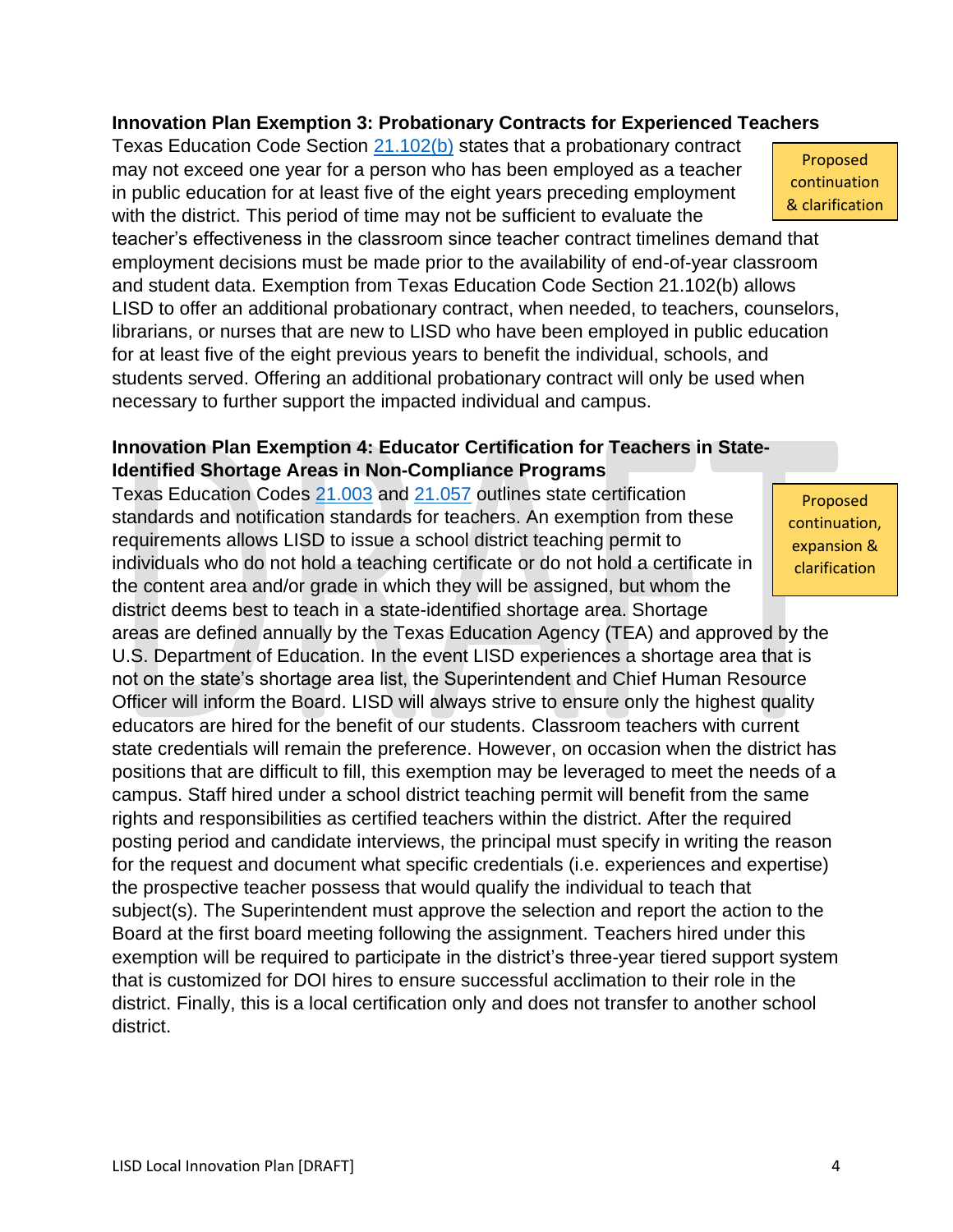#### **Innovation Plan Exemption 3: Probationary Contracts for Experienced Teachers**

Texas Education Code Section [21.102\(b\)](https://statutes.capitol.texas.gov/Docs/ED/htm/ED.21.htm#:~:text=in%20that%20capacity.-,(b),-A%20probationary%20contract) states that a probationary contract may not exceed one year for a person who has been employed as a teacher in public education for at least five of the eight years preceding employment with the district. This period of time may not be sufficient to evaluate the

teacher's effectiveness in the classroom since teacher contract timelines demand that employment decisions must be made prior to the availability of end-of-year classroom and student data. Exemption from Texas Education Code Section 21.102(b) allows LISD to offer an additional probationary contract, when needed, to teachers, counselors, librarians, or nurses that are new to LISD who have been employed in public education for at least five of the eight previous years to benefit the individual, schools, and students served. Offering an additional probationary contract will only be used when necessary to further support the impacted individual and campus.

#### **Innovation Plan Exemption 4: Educator Certification for Teachers in State-Identified Shortage Areas in Non-Compliance Programs**

Texas Education Codes [21.003](https://statutes.capitol.texas.gov/Docs/ED/htm/ED.21.htm#:~:text=Sec.%2021.003.%20%20CERTIFICATION%20REQUIRED.) and [21.057](https://statutes.capitol.texas.gov/Docs/ED/htm/ED.21.htm#:~:text=Sec.%2021.057.%20%20PARENTAL%20NOTIFICATION.) outlines state certification standards and notification standards for teachers. An exemption from these requirements allows LISD to issue a school district teaching permit to individuals who do not hold a teaching certificate or do not hold a certificate in the content area and/or grade in which they will be assigned, but whom the district deems best to teach in a state-identified shortage area. Shortage

areas are defined annually by the Texas Education Agency (TEA) and approved by the U.S. Department of Education. In the event LISD experiences a shortage area that is not on the state's shortage area list, the Superintendent and Chief Human Resource Officer will inform the Board. LISD will always strive to ensure only the highest quality educators are hired for the benefit of our students. Classroom teachers with current state credentials will remain the preference. However, on occasion when the district has positions that are difficult to fill, this exemption may be leveraged to meet the needs of a campus. Staff hired under a school district teaching permit will benefit from the same rights and responsibilities as certified teachers within the district. After the required posting period and candidate interviews, the principal must specify in writing the reason for the request and document what specific credentials (i.e. experiences and expertise) the prospective teacher possess that would qualify the individual to teach that subject(s). The Superintendent must approve the selection and report the action to the Board at the first board meeting following the assignment. Teachers hired under this exemption will be required to participate in the district's three-year tiered support system that is customized for DOI hires to ensure successful acclimation to their role in the district. Finally, this is a local certification only and does not transfer to another school district.

Proposed continuation & clarification

Proposed continuation, expansion & clarification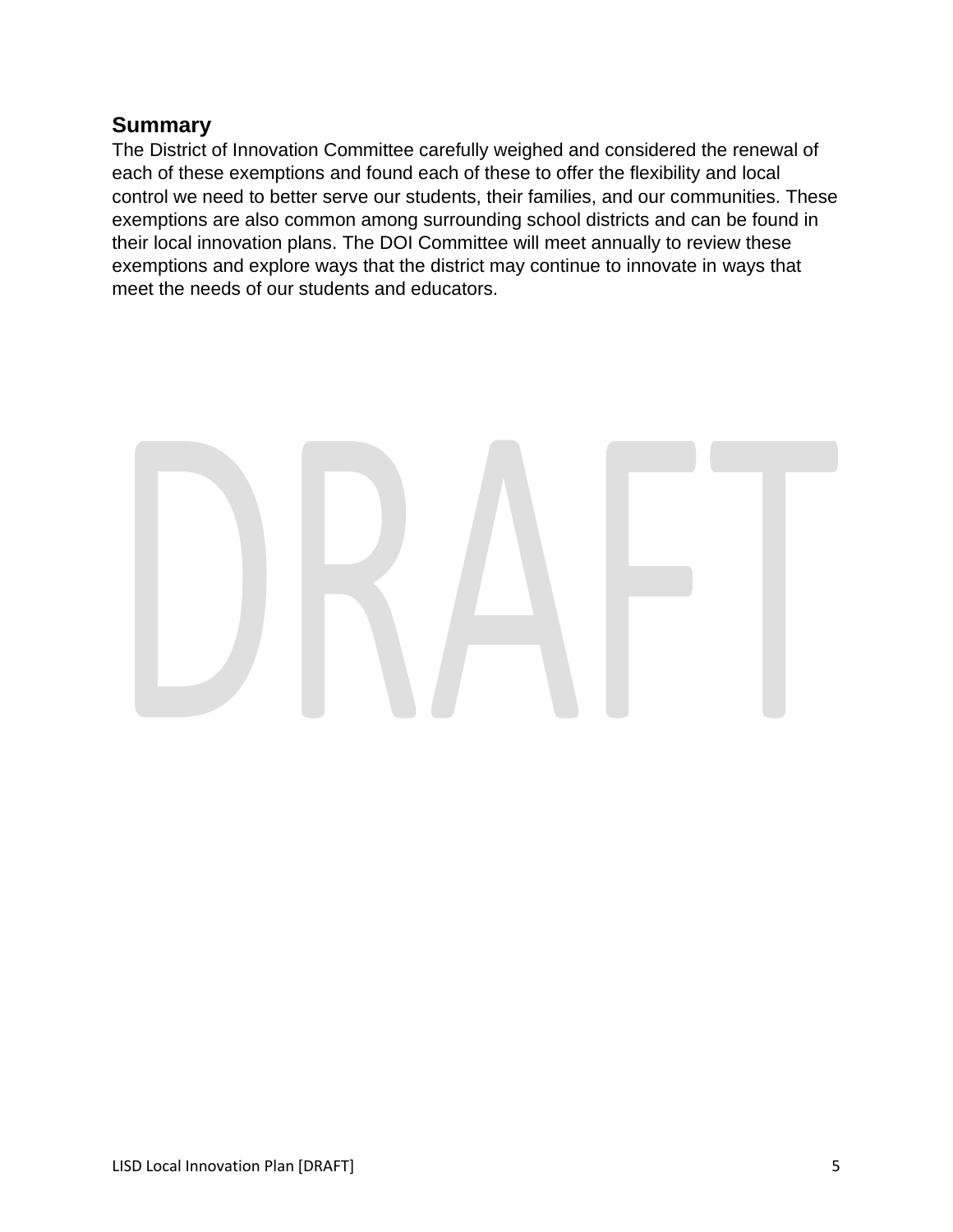## **Summary**

The District of Innovation Committee carefully weighed and considered the renewal of each of these exemptions and found each of these to offer the flexibility and local control we need to better serve our students, their families, and our communities. These exemptions are also common among surrounding school districts and can be found in their local innovation plans. The DOI Committee will meet annually to review these exemptions and explore ways that the district may continue to innovate in ways that meet the needs of our students and educators.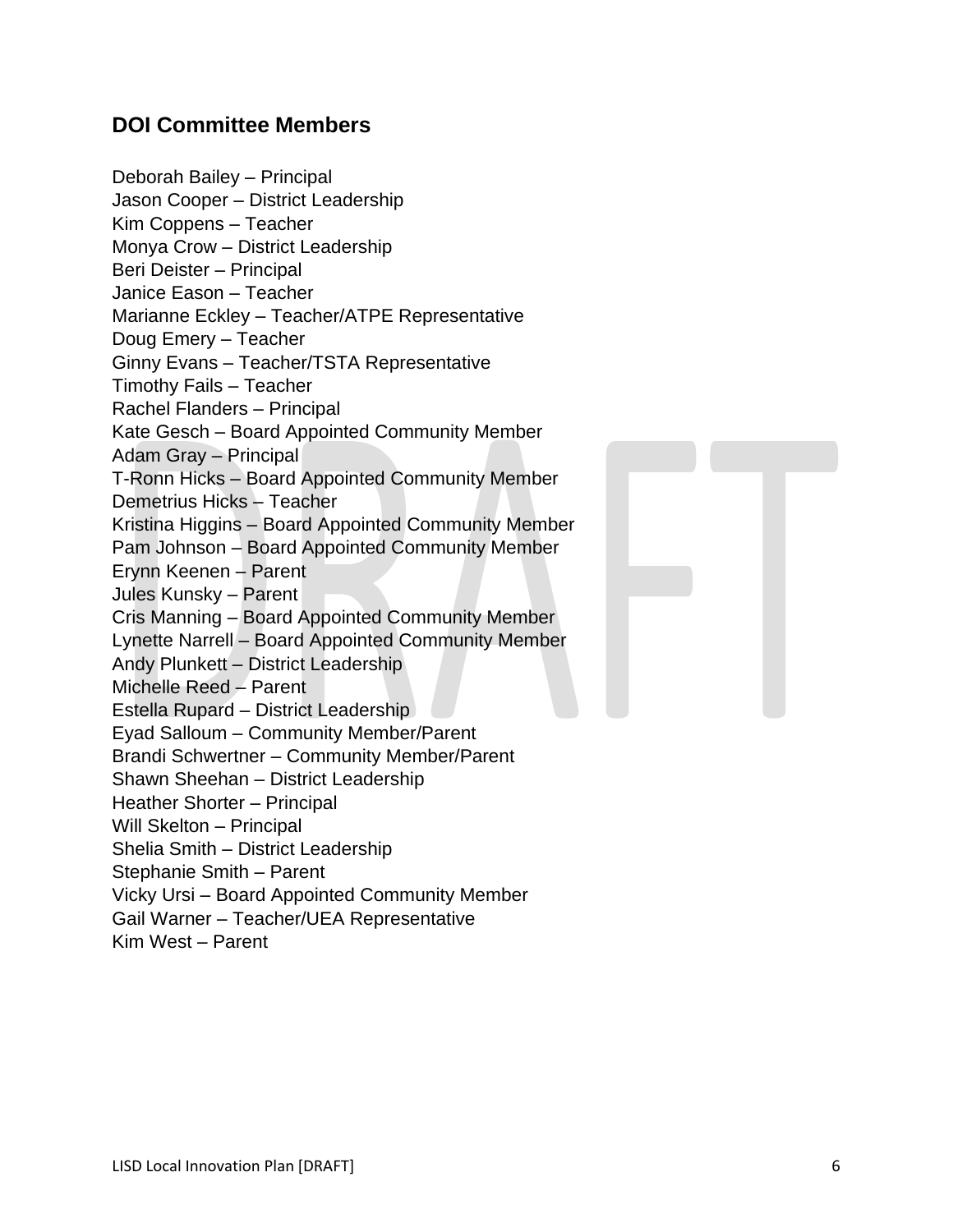# **DOI Committee Members**

| Deborah Bailey - Principal                          |
|-----------------------------------------------------|
| Jason Cooper - District Leadership                  |
| Kim Coppens - Teacher                               |
| Monya Crow - District Leadership                    |
| Beri Deister - Principal                            |
| Janice Eason - Teacher                              |
| Marianne Eckley - Teacher/ATPE Representative       |
| Doug Emery - Teacher                                |
| Ginny Evans - Teacher/TSTA Representative           |
| Timothy Fails - Teacher                             |
| Rachel Flanders - Principal                         |
| Kate Gesch - Board Appointed Community Member       |
| <b>Adam Gray - Principal</b>                        |
| T-Ronn Hicks - Board Appointed Community Member     |
| Demetrius Hicks - Teacher                           |
| Kristina Higgins - Board Appointed Community Member |
| Pam Johnson - Board Appointed Community Member      |
| Erynn Keenen - Parent                               |
| Jules Kunsky - Parent                               |
| Cris Manning - Board Appointed Community Member     |
| Lynette Narrell - Board Appointed Community Member  |
| Andy Plunkett - District Leadership                 |
| Michelle Reed - Parent                              |
| Estella Rupard - District Leadership                |
| Eyad Salloum - Community Member/Parent              |
| Brandi Schwertner - Community Member/Parent         |
| Shawn Sheehan - District Leadership                 |
| Heather Shorter - Principal                         |
| Will Skelton - Principal                            |
| Shelia Smith - District Leadership                  |
| Stephanie Smith - Parent                            |
| Vicky Ursi - Board Appointed Community Member       |
| Gail Warner - Teacher/UEA Representative            |
| Kim West - Parent                                   |